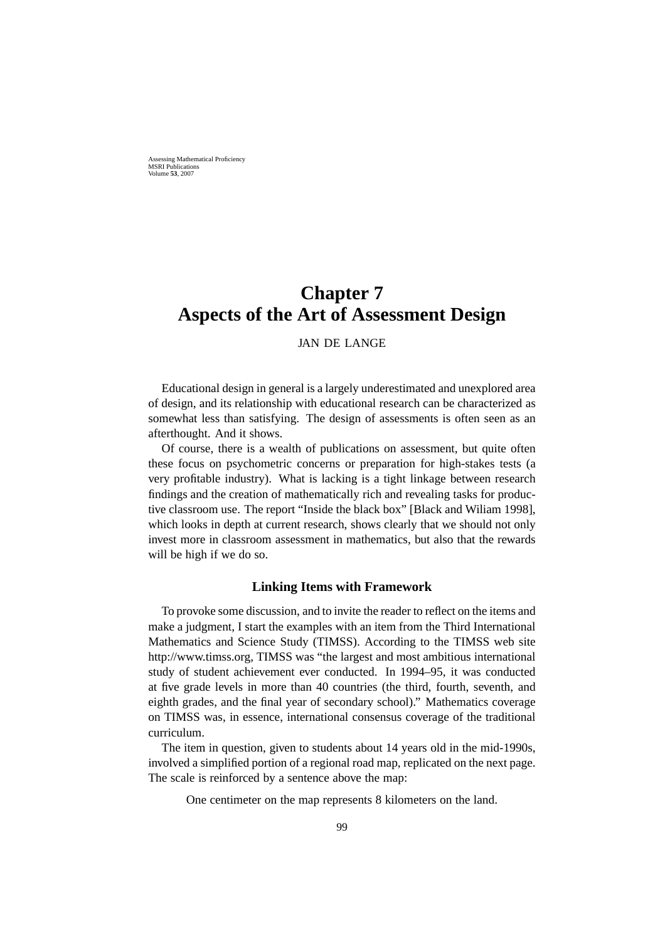Assessing Mathematical Proficiency MSRI Publications Volume **53**, 2007

# **Chapter 7 Aspects of the Art of Assessment Design**

# JAN DE LANGE

Educational design in general is a largely underestimated and unexplored area of design, and its relationship with educational research can be characterized as somewhat less than satisfying. The design of assessments is often seen as an afterthought. And it shows.

Of course, there is a wealth of publications on assessment, but quite often these focus on psychometric concerns or preparation for high-stakes tests (a very profitable industry). What is lacking is a tight linkage between research findings and the creation of mathematically rich and revealing tasks for productive classroom use. The report "Inside the black box" [Black and Wiliam 1998], which looks in depth at current research, shows clearly that we should not only invest more in classroom assessment in mathematics, but also that the rewards will be high if we do so.

# **Linking Items with Framework**

To provoke some discussion, and to invite the reader to reflect on the items and make a judgment, I start the examples with an item from the Third International Mathematics and Science Study (TIMSS). According to the TIMSS web site http://www.timss.org, TIMSS was "the largest and most ambitious international study of student achievement ever conducted. In 1994–95, it was conducted at five grade levels in more than 40 countries (the third, fourth, seventh, and eighth grades, and the final year of secondary school)." Mathematics coverage on TIMSS was, in essence, international consensus coverage of the traditional curriculum.

The item in question, given to students about 14 years old in the mid-1990s, involved a simplified portion of a regional road map, replicated on the next page. The scale is reinforced by a sentence above the map:

One centimeter on the map represents 8 kilometers on the land.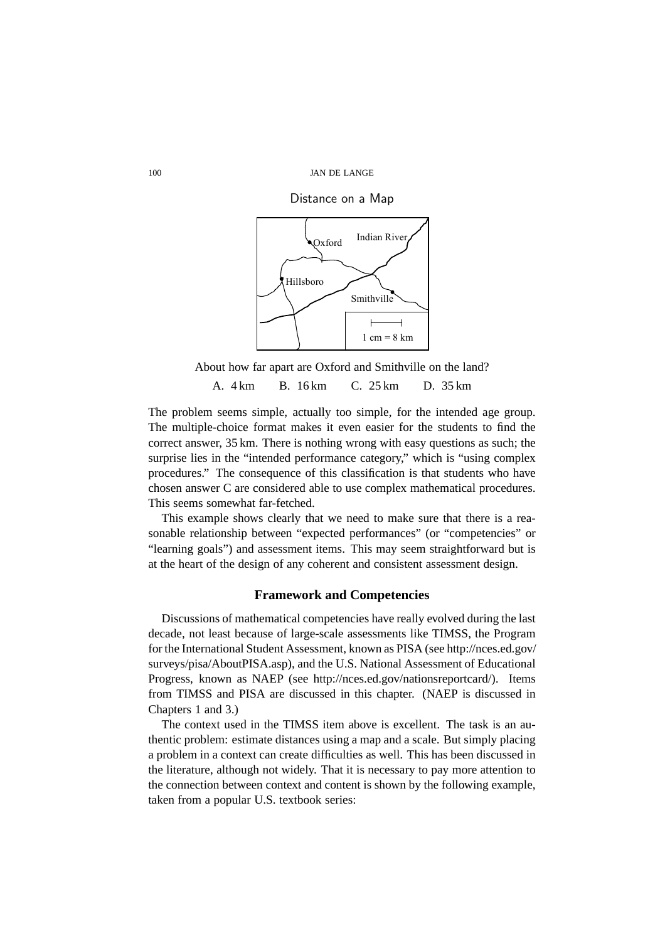100 JAN DE LANGE

### Distance on a Map



About how far apart are Oxford and Smithville on the land? A. 4 km B. 16 km C. 25 km D. 35 km

The problem seems simple, actually too simple, for the intended age group. The multiple-choice format makes it even easier for the students to find the correct answer, 35 km. There is nothing wrong with easy questions as such; the surprise lies in the "intended performance category," which is "using complex procedures." The consequence of this classification is that students who have chosen answer C are considered able to use complex mathematical procedures. This seems somewhat far-fetched.

This example shows clearly that we need to make sure that there is a reasonable relationship between "expected performances" (or "competencies" or "learning goals") and assessment items. This may seem straightforward but is at the heart of the design of any coherent and consistent assessment design.

## **Framework and Competencies**

Discussions of mathematical competencies have really evolved during the last decade, not least because of large-scale assessments like TIMSS, the Program for the International Student Assessment, known as PISA (see http://nces.ed.gov/ surveys/pisa/AboutPISA.asp), and the U.S. National Assessment of Educational Progress, known as NAEP (see http://nces.ed.gov/nationsreportcard/). Items from TIMSS and PISA are discussed in this chapter. (NAEP is discussed in Chapters 1 and 3.)

The context used in the TIMSS item above is excellent. The task is an authentic problem: estimate distances using a map and a scale. But simply placing a problem in a context can create difficulties as well. This has been discussed in the literature, although not widely. That it is necessary to pay more attention to the connection between context and content is shown by the following example, taken from a popular U.S. textbook series: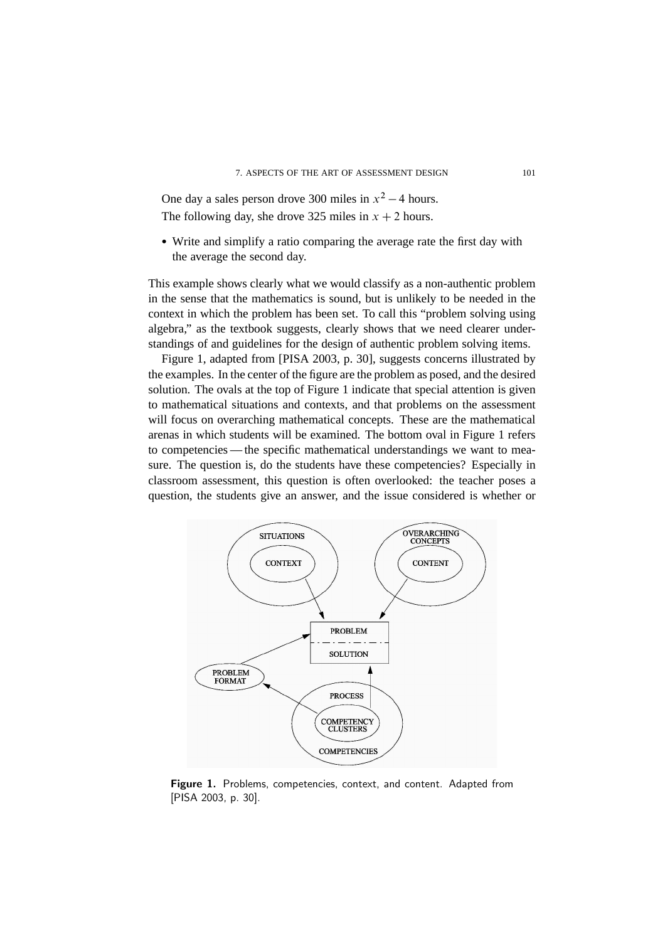One day a sales person drove 300 miles in  $x^2 - 4$  hours. The following day, she drove 325 miles in  $x + 2$  hours.

 Write and simplify a ratio comparing the average rate the first day with the average the second day.

This example shows clearly what we would classify as a non-authentic problem in the sense that the mathematics is sound, but is unlikely to be needed in the context in which the problem has been set. To call this "problem solving using algebra," as the textbook suggests, clearly shows that we need clearer understandings of and guidelines for the design of authentic problem solving items.

Figure 1, adapted from [PISA 2003, p. 30], suggests concerns illustrated by the examples. In the center of the figure are the problem as posed, and the desired solution. The ovals at the top of Figure 1 indicate that special attention is given to mathematical situations and contexts, and that problems on the assessment will focus on overarching mathematical concepts. These are the mathematical arenas in which students will be examined. The bottom oval in Figure 1 refers to competencies — the specific mathematical understandings we want to measure. The question is, do the students have these competencies? Especially in classroom assessment, this question is often overlooked: the teacher poses a question, the students give an answer, and the issue considered is whether or



Figure 1. Problems, competencies, context, and content. Adapted from [PISA 2003, p. 30].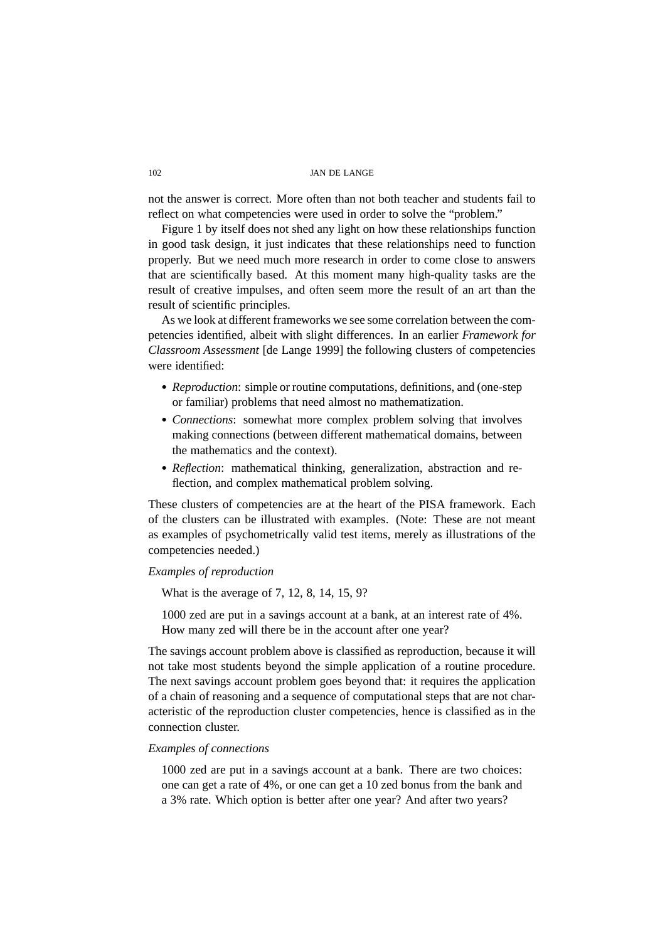not the answer is correct. More often than not both teacher and students fail to reflect on what competencies were used in order to solve the "problem."

Figure 1 by itself does not shed any light on how these relationships function in good task design, it just indicates that these relationships need to function properly. But we need much more research in order to come close to answers that are scientifically based. At this moment many high-quality tasks are the result of creative impulses, and often seem more the result of an art than the result of scientific principles.

As we look at different frameworks we see some correlation between the competencies identified, albeit with slight differences. In an earlier *Framework for Classroom Assessment* [de Lange 1999] the following clusters of competencies were identified:

- *Reproduction*: simple or routine computations, definitions, and (one-step or familiar) problems that need almost no mathematization.
- *Connections*: somewhat more complex problem solving that involves making connections (between different mathematical domains, between the mathematics and the context).
- *Reflection*: mathematical thinking, generalization, abstraction and reflection, and complex mathematical problem solving.

These clusters of competencies are at the heart of the PISA framework. Each of the clusters can be illustrated with examples. (Note: These are not meant as examples of psychometrically valid test items, merely as illustrations of the competencies needed.)

## *Examples of reproduction*

What is the average of 7, 12, 8, 14, 15, 9?

1000 zed are put in a savings account at a bank, at an interest rate of 4%. How many zed will there be in the account after one year?

The savings account problem above is classified as reproduction, because it will not take most students beyond the simple application of a routine procedure. The next savings account problem goes beyond that: it requires the application of a chain of reasoning and a sequence of computational steps that are not characteristic of the reproduction cluster competencies, hence is classified as in the connection cluster.

### *Examples of connections*

1000 zed are put in a savings account at a bank. There are two choices: one can get a rate of 4%, or one can get a 10 zed bonus from the bank and a 3% rate. Which option is better after one year? And after two years?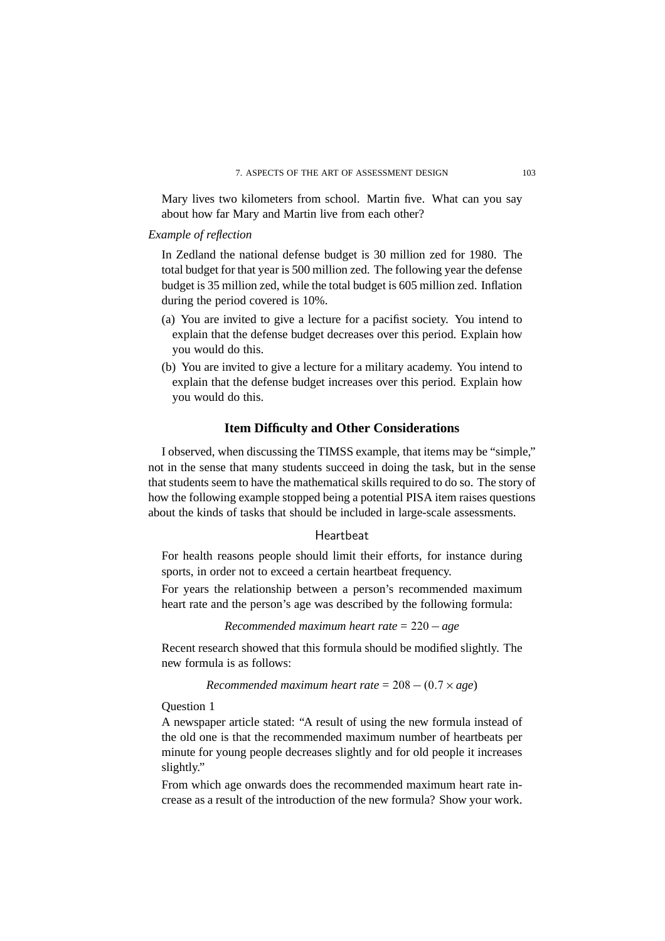Mary lives two kilometers from school. Martin five. What can you say about how far Mary and Martin live from each other?

### *Example of reflection*

In Zedland the national defense budget is 30 million zed for 1980. The total budget for that year is 500 million zed. The following year the defense budget is 35 million zed, while the total budget is 605 million zed. Inflation during the period covered is 10%.

- (a) You are invited to give a lecture for a pacifist society. You intend to explain that the defense budget decreases over this period. Explain how you would do this.
- (b) You are invited to give a lecture for a military academy. You intend to explain that the defense budget increases over this period. Explain how you would do this.

# **Item Difficulty and Other Considerations**

I observed, when discussing the TIMSS example, that items may be "simple," not in the sense that many students succeed in doing the task, but in the sense that students seem to have the mathematical skills required to do so. The story of how the following example stopped being a potential PISA item raises questions about the kinds of tasks that should be included in large-scale assessments.

# **Heartbeat**

For health reasons people should limit their efforts, for instance during sports, in order not to exceed a certain heartbeat frequency.

For years the relationship between a person's recommended maximum heart rate and the person's age was described by the following formula:

*Recommended maximum heart rate* = 220 *age*

Recent research showed that this formula should be modified slightly. The new formula is as follows:

```
Recommended maximum heart rate = 208 - (0.7 \times age)
```
Question 1

A newspaper article stated: "A result of using the new formula instead of the old one is that the recommended maximum number of heartbeats per minute for young people decreases slightly and for old people it increases slightly."

From which age onwards does the recommended maximum heart rate increase as a result of the introduction of the new formula? Show your work.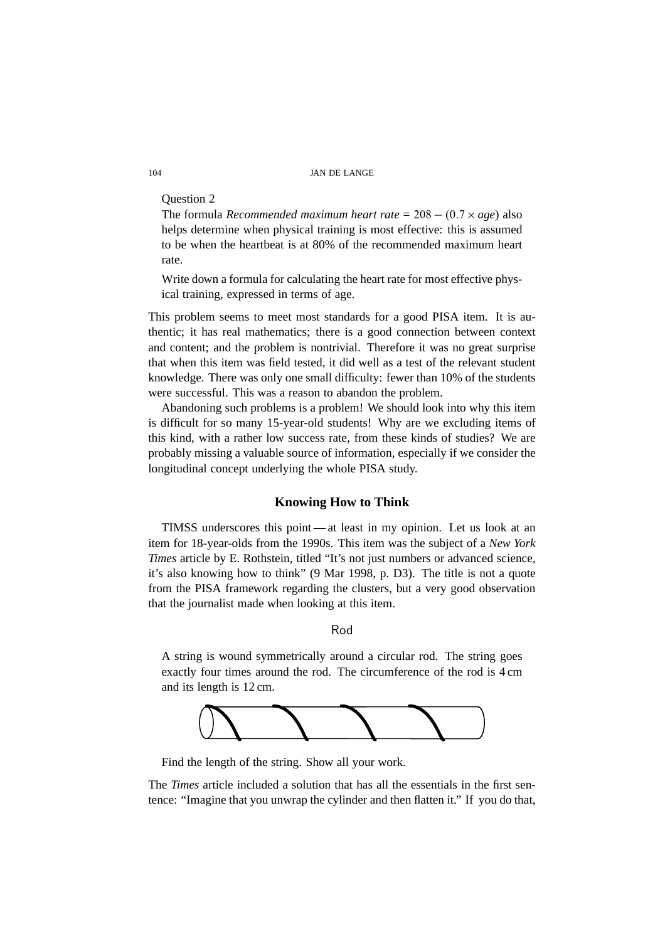### Question 2

The formula *Recommended maximum heart rate* =  $208 - (0.7 \times age)$  also helps determine when physical training is most effective: this is assumed to be when the heartbeat is at 80% of the recommended maximum heart rate.

Write down a formula for calculating the heart rate for most effective physical training, expressed in terms of age.

This problem seems to meet most standards for a good PISA item. It is authentic; it has real mathematics; there is a good connection between context and content; and the problem is nontrivial. Therefore it was no great surprise that when this item was field tested, it did well as a test of the relevant student knowledge. There was only one small difficulty: fewer than 10% of the students were successful. This was a reason to abandon the problem.

Abandoning such problems is a problem! We should look into why this item is difficult for so many 15-year-old students! Why are we excluding items of this kind, with a rather low success rate, from these kinds of studies? We are probably missing a valuable source of information, especially if we consider the longitudinal concept underlying the whole PISA study.

### **Knowing How to Think**

TIMSS underscores this point — at least in my opinion. Let us look at an item for 18-year-olds from the 1990s. This item was the subject of a *New York Times* article by E. Rothstein, titled "It's not just numbers or advanced science, it's also knowing how to think" (9 Mar 1998, p. D3). The title is not a quote from the PISA framework regarding the clusters, but a very good observation that the journalist made when looking at this item.

### Rod

A string is wound symmetrically around a circular rod. The string goes exactly four times around the rod. The circumference of the rod is 4 cm and its length is 12 cm.



Find the length of the string. Show all your work.

The *Times* article included a solution that has all the essentials in the first sentence: "Imagine that you unwrap the cylinder and then flatten it." If you do that,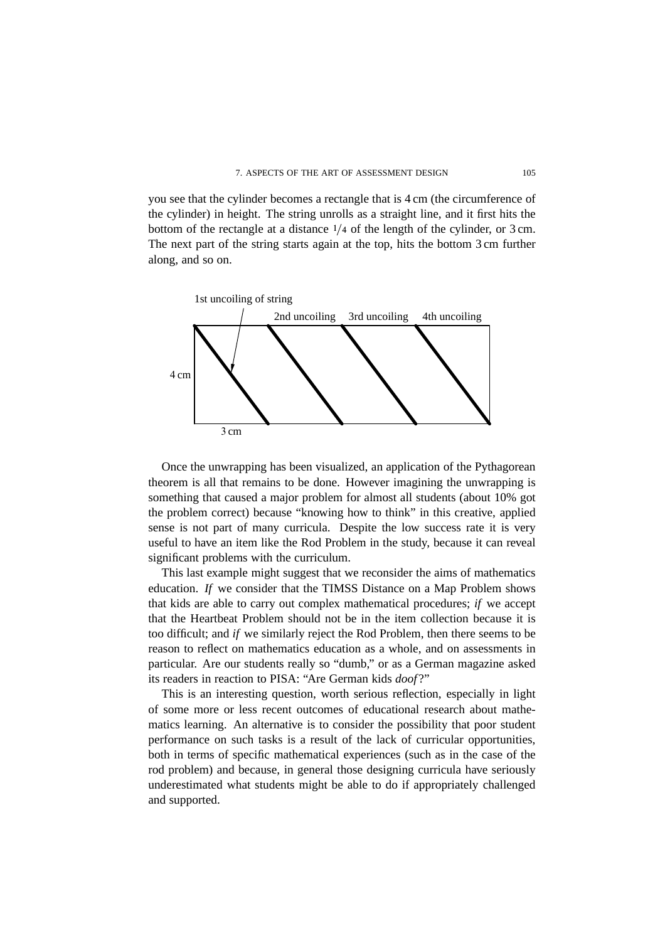you see that the cylinder becomes a rectangle that is 4 cm (the circumference of the cylinder) in height. The string unrolls as a straight line, and it first hits the bottom of the rectangle at a distance  $1/4$  of the length of the cylinder, or 3 cm. The next part of the string starts again at the top, hits the bottom 3 cm further along, and so on.



Once the unwrapping has been visualized, an application of the Pythagorean theorem is all that remains to be done. However imagining the unwrapping is something that caused a major problem for almost all students (about 10% got the problem correct) because "knowing how to think" in this creative, applied sense is not part of many curricula. Despite the low success rate it is very useful to have an item like the Rod Problem in the study, because it can reveal significant problems with the curriculum.

This last example might suggest that we reconsider the aims of mathematics education. *If* we consider that the TIMSS Distance on a Map Problem shows that kids are able to carry out complex mathematical procedures; *if* we accept that the Heartbeat Problem should not be in the item collection because it is too difficult; and *if* we similarly reject the Rod Problem, then there seems to be reason to reflect on mathematics education as a whole, and on assessments in particular. Are our students really so "dumb," or as a German magazine asked its readers in reaction to PISA: "Are German kids *doof* ?"

This is an interesting question, worth serious reflection, especially in light of some more or less recent outcomes of educational research about mathematics learning. An alternative is to consider the possibility that poor student performance on such tasks is a result of the lack of curricular opportunities, both in terms of specific mathematical experiences (such as in the case of the rod problem) and because, in general those designing curricula have seriously underestimated what students might be able to do if appropriately challenged and supported.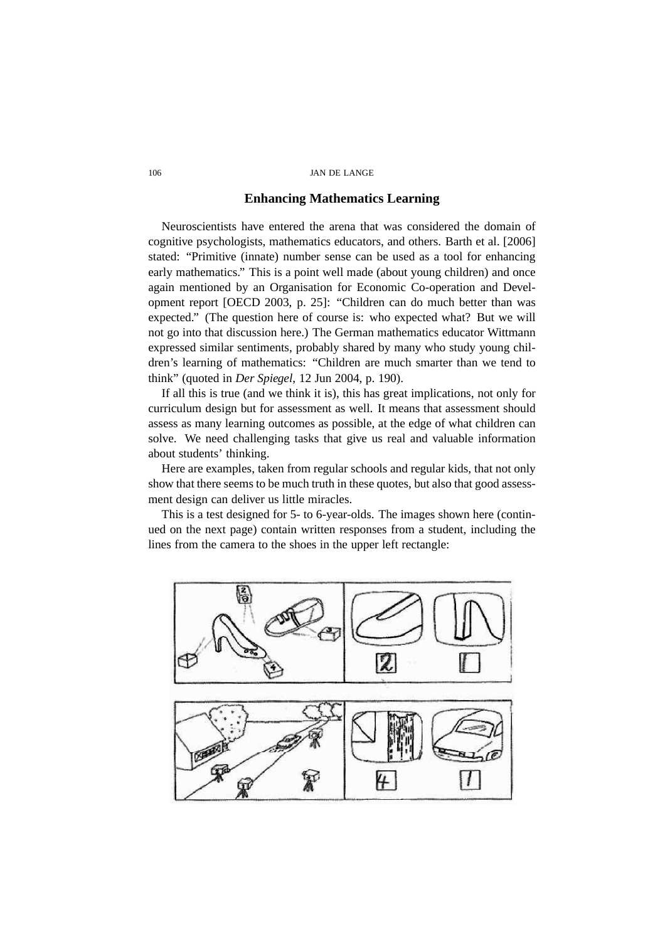# **Enhancing Mathematics Learning**

Neuroscientists have entered the arena that was considered the domain of cognitive psychologists, mathematics educators, and others. Barth et al. [2006] stated: "Primitive (innate) number sense can be used as a tool for enhancing early mathematics." This is a point well made (about young children) and once again mentioned by an Organisation for Economic Co-operation and Development report [OECD 2003, p. 25]: "Children can do much better than was expected." (The question here of course is: who expected what? But we will not go into that discussion here.) The German mathematics educator Wittmann expressed similar sentiments, probably shared by many who study young children's learning of mathematics: "Children are much smarter than we tend to think" (quoted in *Der Spiegel*, 12 Jun 2004, p. 190).

If all this is true (and we think it is), this has great implications, not only for curriculum design but for assessment as well. It means that assessment should assess as many learning outcomes as possible, at the edge of what children can solve. We need challenging tasks that give us real and valuable information about students' thinking.

Here are examples, taken from regular schools and regular kids, that not only show that there seems to be much truth in these quotes, but also that good assessment design can deliver us little miracles.

This is a test designed for 5- to 6-year-olds. The images shown here (continued on the next page) contain written responses from a student, including the lines from the camera to the shoes in the upper left rectangle:

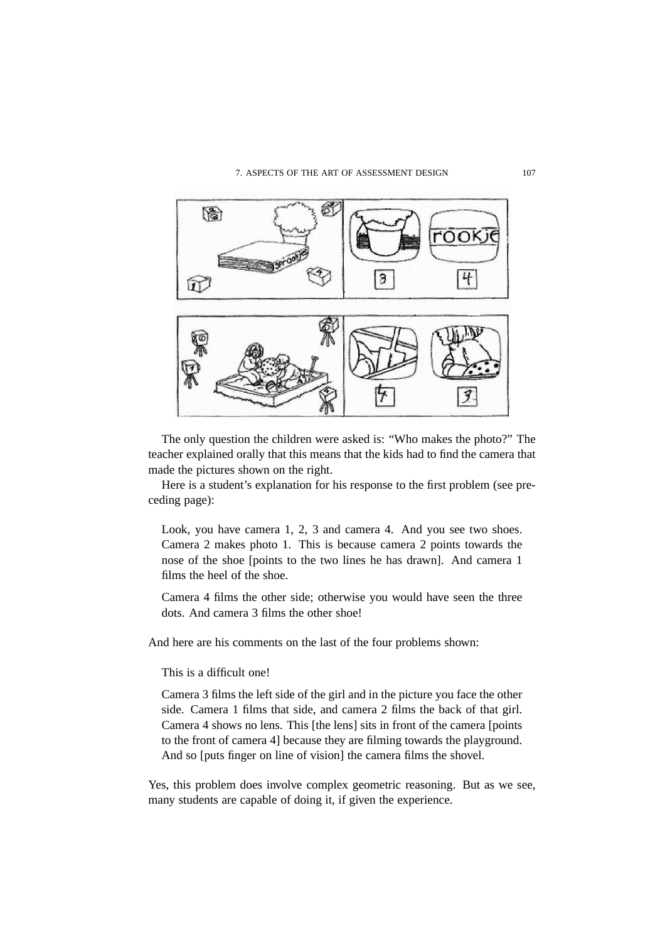

The only question the children were asked is: "Who makes the photo?" The teacher explained orally that this means that the kids had to find the camera that made the pictures shown on the right.

Here is a student's explanation for his response to the first problem (see preceding page):

Look, you have camera 1, 2, 3 and camera 4. And you see two shoes. Camera 2 makes photo 1. This is because camera 2 points towards the nose of the shoe [points to the two lines he has drawn]. And camera 1 films the heel of the shoe.

Camera 4 films the other side; otherwise you would have seen the three dots. And camera 3 films the other shoe!

And here are his comments on the last of the four problems shown:

This is a difficult one!

Camera 3 films the left side of the girl and in the picture you face the other side. Camera 1 films that side, and camera 2 films the back of that girl. Camera 4 shows no lens. This [the lens] sits in front of the camera [points to the front of camera 4] because they are filming towards the playground. And so [puts finger on line of vision] the camera films the shovel.

Yes, this problem does involve complex geometric reasoning. But as we see, many students are capable of doing it, if given the experience.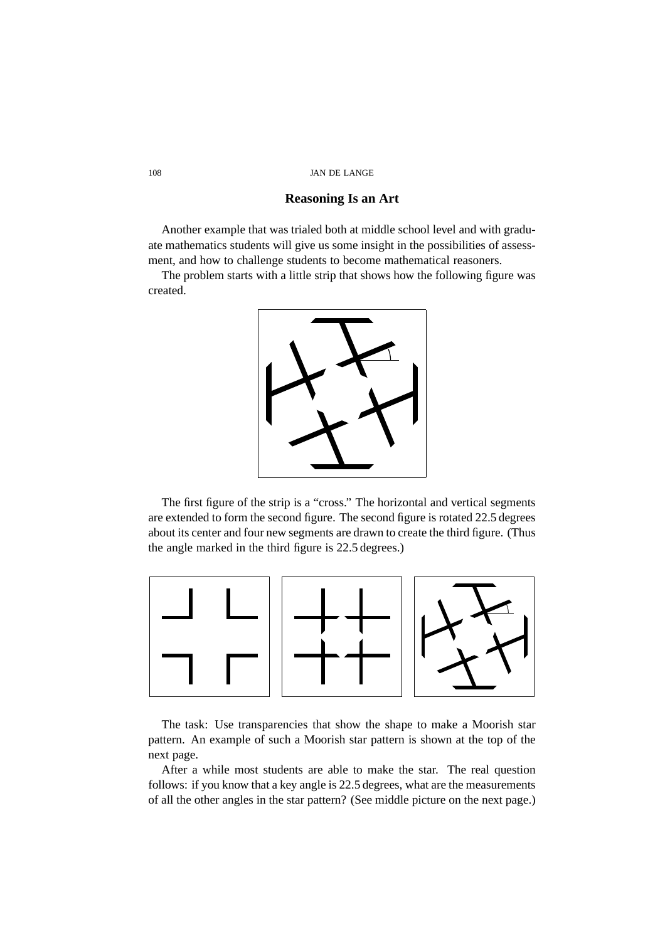# **Reasoning Is an Art**

Another example that was trialed both at middle school level and with graduate mathematics students will give us some insight in the possibilities of assessment, and how to challenge students to become mathematical reasoners.

The problem starts with a little strip that shows how the following figure was created.



The first figure of the strip is a "cross." The horizontal and vertical segments are extended to form the second figure. The second figure is rotated 22.5 degrees about its center and four new segments are drawn to create the third figure. (Thus the angle marked in the third figure is 22.5 degrees.)



The task: Use transparencies that show the shape to make a Moorish star pattern. An example of such a Moorish star pattern is shown at the top of the next page.

After a while most students are able to make the star. The real question follows: if you know that a key angle is 22.5 degrees, what are the measurements of all the other angles in the star pattern? (See middle picture on the next page.)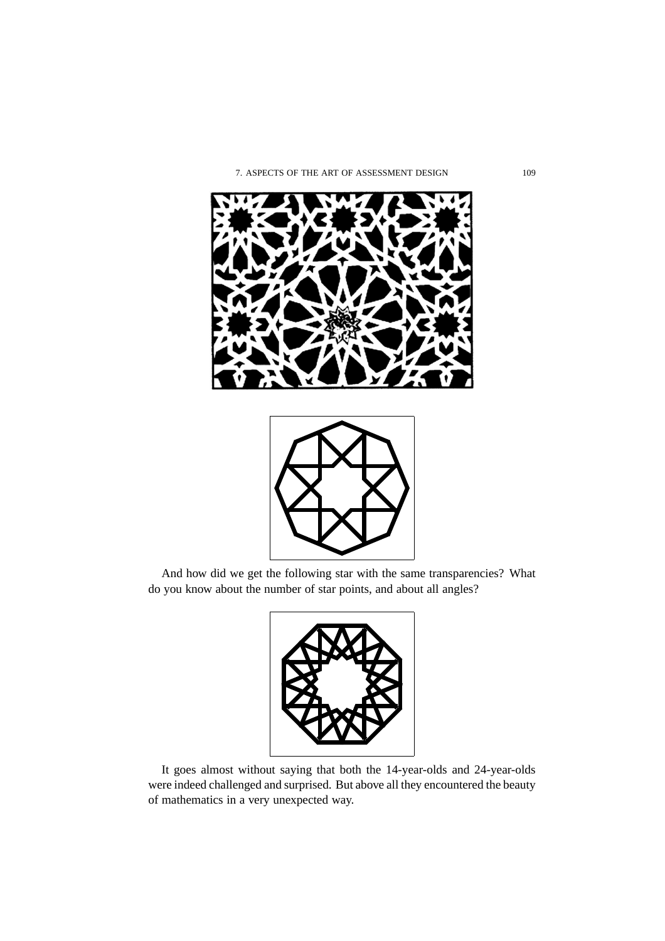

And how did we get the following star with the same transparencies? What do you know about the number of star points, and about all angles?



It goes almost without saying that both the 14-year-olds and 24-year-olds were indeed challenged and surprised. But above all they encountered the beauty of mathematics in a very unexpected way.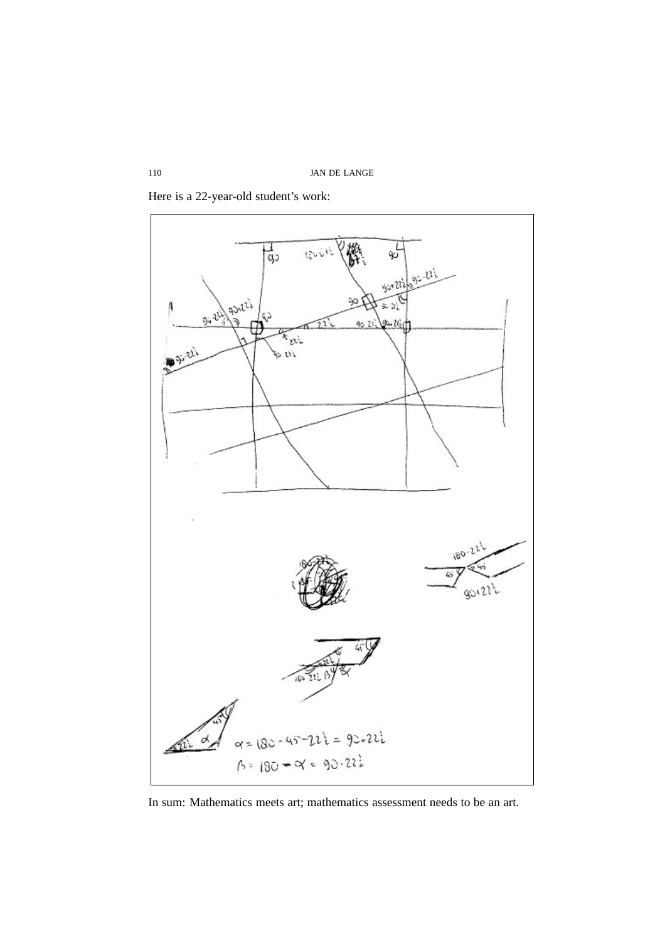



In sum: Mathematics meets art; mathematics assessment needs to be an art.